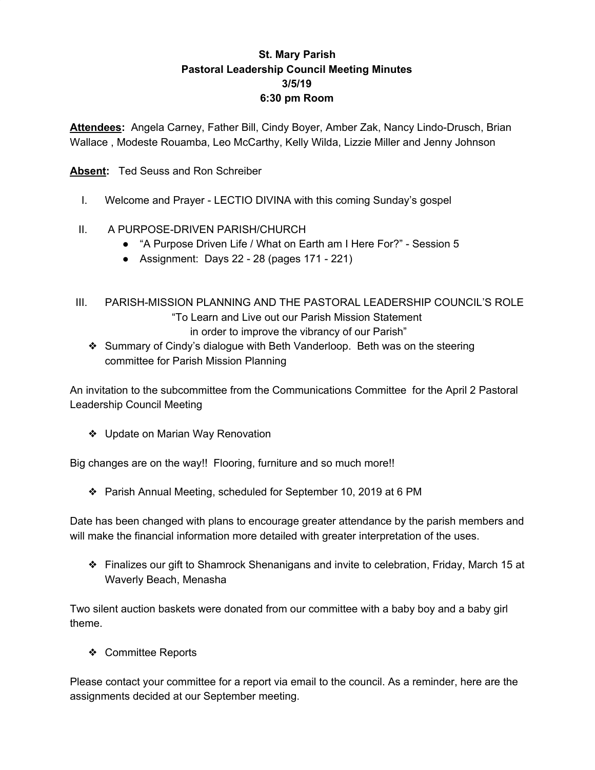## **St. Mary Parish Pastoral Leadership Council Meeting Minutes 3/5/19 6:30 pm Room**

**Attendees:** Angela Carney, Father Bill, Cindy Boyer, Amber Zak, Nancy Lindo-Drusch, Brian Wallace , Modeste Rouamba, Leo McCarthy, Kelly Wilda, Lizzie Miller and Jenny Johnson

**Absent:** Ted Seuss and Ron Schreiber

- I. Welcome and Prayer LECTIO DIVINA with this coming Sunday's gospel
- II. A PURPOSE-DRIVEN PARISH/CHURCH
	- "A Purpose Driven Life / What on Earth am I Here For?" Session 5
	- Assignment: Days 22 28 (pages 171 221)
- III. PARISH-MISSION PLANNING AND THE PASTORAL LEADERSHIP COUNCIL'S ROLE "To Learn and Live out our Parish Mission Statement in order to improve the vibrancy of our Parish"
	- ❖ Summary of Cindy's dialogue with Beth Vanderloop. Beth was on the steering committee for Parish Mission Planning

An invitation to the subcommittee from the Communications Committee for the April 2 Pastoral Leadership Council Meeting

❖ Update on Marian Way Renovation

Big changes are on the way!! Flooring, furniture and so much more!!

❖ Parish Annual Meeting, scheduled for September 10, 2019 at 6 PM

Date has been changed with plans to encourage greater attendance by the parish members and will make the financial information more detailed with greater interpretation of the uses.

❖ Finalizes our gift to Shamrock Shenanigans and invite to celebration, Friday, March 15 at Waverly Beach, Menasha

Two silent auction baskets were donated from our committee with a baby boy and a baby girl theme.

❖ Committee Reports

Please contact your committee for a report via email to the council. As a reminder, here are the assignments decided at our September meeting.